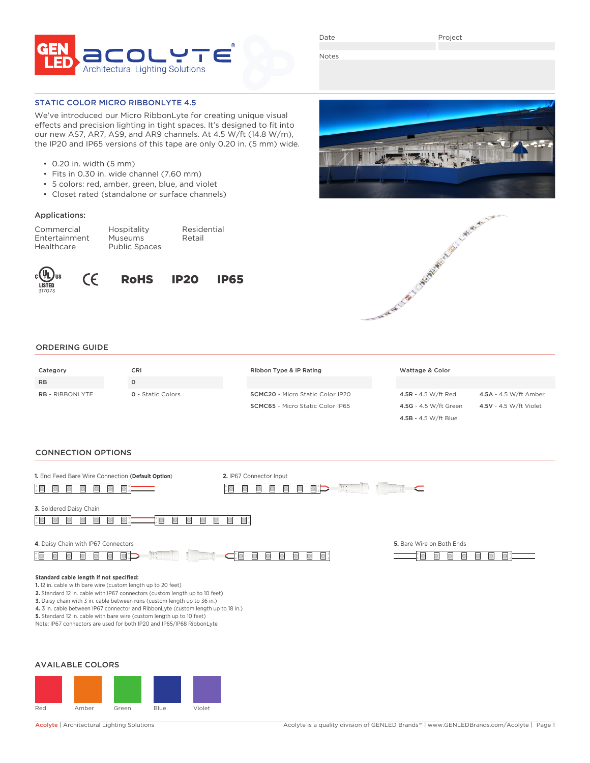

Date

Project

Notes

## STATIC COLOR MICRO RIBBONLYTE 4.5

We've introduced our Micro RibbonLyte for creating unique visual effects and precision lighting in tight spaces. It's designed to fit into our new AS7, AR7, AS9, and AR9 channels. At 4.5 W/ft (14.8 W/m), the IP20 and IP65 versions of this tape are only 0.20 in. (5 mm) wide.

- 0.20 in. width (5 mm)
- Fits in 0.30 in. wide channel (7.60 mm)
- 5 colors: red, amber, green, blue, and violet
- Closet rated (standalone or surface channels)

### Applications:

| Commercial    | Hospitality          | Residential |
|---------------|----------------------|-------------|
| Entertainment | <b>Museums</b>       | Retail      |
| Healthcare    | <b>Public Spaces</b> |             |











4.5B - 4.5 W/ft Blue

#### ORDERING GUIDE

| Category               | CRI                      | Ribbon Type & IP Rating                 | Wattage & Color       |                        |
|------------------------|--------------------------|-----------------------------------------|-----------------------|------------------------|
| <b>RB</b>              | O                        |                                         |                       |                        |
| <b>RB</b> - RIBBONLYTE | <b>Q</b> - Static Colors | <b>SCMC20</b> - Micro Static Color IP20 | 4.5R - 4.5 W/ft Red   | 4.5A - 4.5 W/ft Amber  |
|                        |                          | <b>SCMC65</b> - Micro Static Color IP65 | 4.5G - 4.5 W/ft Green | 4.5V - 4.5 W/ft Violet |

#### CONNECTION OPTIONS

| 1. End Feed Bare Wire Connection (Default Option)                                                                                                                                                                                                                                                                                                                                                                                                                                                          | 2. IP67 Connector Input  | $\mathbb{R}$ .<br>$\subset$          |  |
|------------------------------------------------------------------------------------------------------------------------------------------------------------------------------------------------------------------------------------------------------------------------------------------------------------------------------------------------------------------------------------------------------------------------------------------------------------------------------------------------------------|--------------------------|--------------------------------------|--|
| 3. Soldered Daisy Chain                                                                                                                                                                                                                                                                                                                                                                                                                                                                                    |                          |                                      |  |
| 4. Daisy Chain with IP67 Connectors<br>$\mathbb{R}$ :<br>D                                                                                                                                                                                                                                                                                                                                                                                                                                                 | $\Box$<br>$\blacksquare$ | 5. Bare Wire on Both Ends<br>$\circ$ |  |
| Standard cable length if not specified:<br>1. 12 in. cable with bare wire (custom length up to 20 feet)<br>2. Standard 12 in. cable with IP67 connectors (custom length up to 10 feet)<br>3. Daisy chain with 3 in. cable between runs (custom length up to 36 in.)<br>4. 3 in. cable between IP67 connector and RibbonLyte (custom length up to 18 in.)<br>5. Standard 12 in. cable with bare wire (custom length up to 10 feet)<br>Note: IP67 connectors are used for both IP20 and IP65/IP68 RibbonLyte |                          |                                      |  |
| <b>AVAILABLE COLORS</b>                                                                                                                                                                                                                                                                                                                                                                                                                                                                                    |                          |                                      |  |

Red Amber Green Blue Violet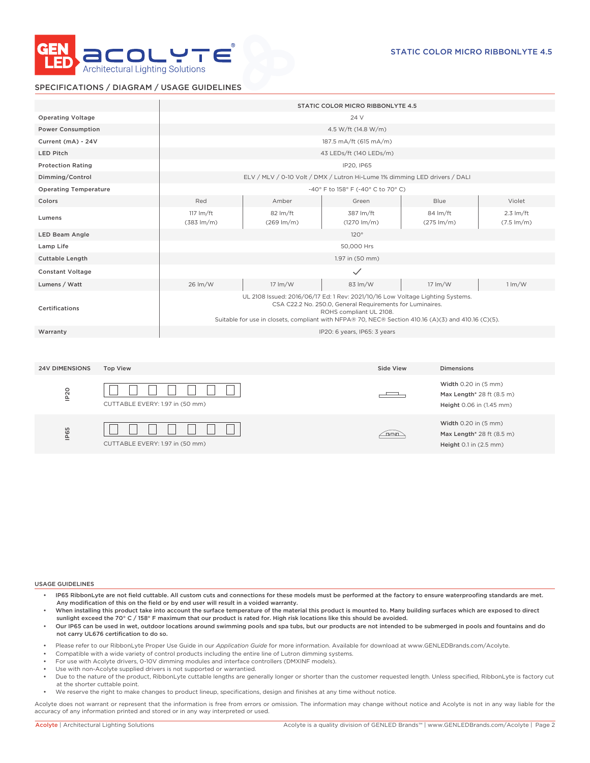

Height 0.1 in (2.5 mm)

## SPECIFICATIONS / DIAGRAM / USAGE GUIDELINES

|                              |                                 |                                               |                                                                                                                                                                                       | STATIC COLOR MICRO RIBBONLYTE 4.5                                                    |                                                                               |                                               |
|------------------------------|---------------------------------|-----------------------------------------------|---------------------------------------------------------------------------------------------------------------------------------------------------------------------------------------|--------------------------------------------------------------------------------------|-------------------------------------------------------------------------------|-----------------------------------------------|
| <b>Operating Voltage</b>     |                                 |                                               |                                                                                                                                                                                       | 24 V                                                                                 |                                                                               |                                               |
| <b>Power Consumption</b>     |                                 |                                               |                                                                                                                                                                                       | 4.5 W/ft (14.8 W/m)                                                                  |                                                                               |                                               |
| Current (mA) - 24V           |                                 |                                               |                                                                                                                                                                                       | 187.5 mA/ft (615 mA/m)                                                               |                                                                               |                                               |
| <b>LED Pitch</b>             |                                 |                                               |                                                                                                                                                                                       | 43 LEDs/ft (140 LEDs/m)                                                              |                                                                               |                                               |
| <b>Protection Rating</b>     |                                 |                                               |                                                                                                                                                                                       | IP20, IP65                                                                           |                                                                               |                                               |
| Dimming/Control              |                                 |                                               | ELV / MLV / 0-10 Volt / DMX / Lutron Hi-Lume 1% dimming LED drivers / DALI                                                                                                            |                                                                                      |                                                                               |                                               |
| <b>Operating Temperature</b> |                                 |                                               |                                                                                                                                                                                       | -40° F to 158° F (-40° C to 70° C)                                                   |                                                                               |                                               |
| Colors                       |                                 | Red                                           | Amber                                                                                                                                                                                 | Green                                                                                | <b>Blue</b>                                                                   | Violet                                        |
| Lumens                       |                                 | $117 \text{ Im/ft}$<br>$(383 \, \text{Im/m})$ | 82 lm/ft<br>$(269 \, \text{Im/m})$                                                                                                                                                    | 387 lm/ft<br>$(1270 \, \text{Im/m})$                                                 | 84 lm/ft<br>$(275 \, \text{Im/m})$                                            | $2.3 \text{ Im/ft}$<br>$(7.5 \, \text{Im/m})$ |
| LED Beam Angle               |                                 |                                               |                                                                                                                                                                                       | 120°                                                                                 |                                                                               |                                               |
| Lamp Life                    |                                 |                                               |                                                                                                                                                                                       | 50,000 Hrs                                                                           |                                                                               |                                               |
| Cuttable Length              |                                 |                                               |                                                                                                                                                                                       | 1.97 in (50 mm)                                                                      |                                                                               |                                               |
| <b>Constant Voltage</b>      |                                 |                                               |                                                                                                                                                                                       | $\checkmark$                                                                         |                                                                               |                                               |
| Lumens / Watt                |                                 | 26 lm/W                                       | 17 lm/W                                                                                                                                                                               | 83 lm/W                                                                              | 17 lm/W                                                                       | $1 \, \text{Im}/\text{W}$                     |
| Certifications               |                                 |                                               | UL 2108 Issued: 2016/06/17 Ed: 1 Rev: 2021/10/16 Low Voltage Lighting Systems.<br>Suitable for use in closets, compliant with NFPA® 70, NEC® Section 410.16 (A)(3) and 410.16 (C)(5). | CSA C22.2 No. 250.0, General Requirements for Luminaires.<br>ROHS compliant UL 2108. |                                                                               |                                               |
| Warranty                     |                                 |                                               |                                                                                                                                                                                       | IP20: 6 years, IP65: 3 years                                                         |                                                                               |                                               |
|                              |                                 |                                               |                                                                                                                                                                                       |                                                                                      |                                                                               |                                               |
| <b>24V DIMENSIONS</b>        | <b>Top View</b>                 |                                               |                                                                                                                                                                                       | Side View                                                                            | <b>Dimensions</b>                                                             |                                               |
| IP <sub>20</sub>             | CUTTABLE EVERY: 1.97 in (50 mm) |                                               |                                                                                                                                                                                       |                                                                                      | Width 0.20 in (5 mm)<br>Max Length* 28 ft (8.5 m)<br>Height 0.06 in (1.45 mm) |                                               |
| P65                          |                                 |                                               |                                                                                                                                                                                       | <u>aran</u>                                                                          | Width 0.20 in (5 mm)<br>Max Length* 28 ft (8.5 m)                             |                                               |

#### USAGE GUIDELINES

ie<br>E

- IP65 RibbonLyte are not field cuttable. All custom cuts and connections for these models must be performed at the factory to ensure waterproofing standards are met. Any modification of this on the field or by end user will result in a voided warranty.
- When installing this product take into account the surface temperature of the material this product is mounted to. Many building surfaces which are exposed to direct sunlight exceed the 70° C / 158° F maximum that our product is rated for. High risk locations like this should be avoided.
- Our IP65 can be used in wet, outdoor locations around swimming pools and spa tubs, but our products are not intended to be submerged in pools and fountains and do not carry UL676 certification to do so.
- Please refer to our RibbonLyte Proper Use Guide in our *Application Guide* for more information. Available for download at www.GENLEDBrands.com/Acolyte.
- Compatible with a wide variety of control products including the entire line of Lutron dimming systems.
- For use with Acolyte drivers, 0-10V dimming modules and interface controllers (DMXINF models).
- Use with non-Acolyte supplied drivers is not supported or warrantied.

CUTTABLE EVERY: 1.97 in (50 mm)

- Due to the nature of the product, RibbonLyte cuttable lengths are generally longer or shorter than the customer requested length. Unless specified, RibbonLyte is factory cut at the shorter cuttable point.
- We reserve the right to make changes to product lineup, specifications, design and finishes at any time without notice.

Acolyte does not warrant or represent that the information is free from errors or omission. The information may change without notice and Acolyte is not in any way liable for the accuracy of any information printed and stored or in any way interpreted or used.